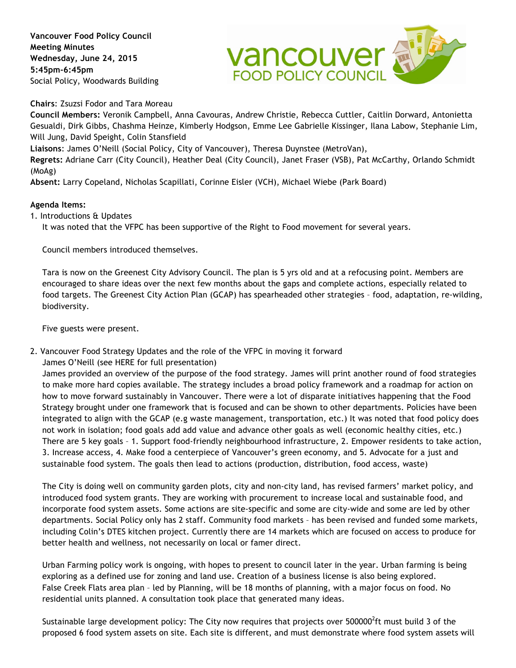**Vancouver Food Policy Council Meeting Minutes Wednesday, June 24, 2015 5:45pm-6:45pm** Social Policy, Woodwards Building



**Chairs**: Zsuzsi Fodor and Tara Moreau

**Council Members:** Veronik Campbell, Anna Cavouras, Andrew Christie, Rebecca Cuttler, Caitlin Dorward, Antonietta Gesualdi, Dirk Gibbs, Chashma Heinze, Kimberly Hodgson, Emme Lee Gabrielle Kissinger, Ilana Labow, Stephanie Lim, Will Jung, David Speight, Colin Stansfield

**Liaisons**: James O'Neill (Social Policy, City of Vancouver), Theresa Duynstee (MetroVan),

**Regrets:** Adriane Carr (City Council), Heather Deal (City Council), Janet Fraser (VSB), Pat McCarthy, Orlando Schmidt (MoAg)

**Absent:** Larry Copeland, Nicholas Scapillati, Corinne Eisler (VCH), Michael Wiebe (Park Board)

## **Agenda Items:**

1. Introductions & Updates

It was noted that the VFPC has been supportive of the Right to Food movement for several years.

Council members introduced themselves.

Tara is now on the Greenest City Advisory Council. The plan is 5 yrs old and at a refocusing point. Members are encouraged to share ideas over the next few months about the gaps and complete actions, especially related to food targets. The Greenest City Action Plan (GCAP) has spearheaded other strategies – food, adaptation, re-wilding, biodiversity.

Five guests were present.

2. Vancouver Food Strategy Updates and the role of the VFPC in moving it forward

James O'Neill (see HERE for full presentation)

James provided an overview of the purpose of the food strategy. James will print another round of food strategies to make more hard copies available. The strategy includes a broad policy framework and a roadmap for action on how to move forward sustainably in Vancouver. There were a lot of disparate initiatives happening that the Food Strategy brought under one framework that is focused and can be shown to other departments. Policies have been integrated to align with the GCAP (e.g waste management, transportation, etc.) It was noted that food policy does not work in isolation; food goals add add value and advance other goals as well (economic healthy cities, etc.) There are 5 key goals – 1. Support food-friendly neighbourhood infrastructure, 2. Empower residents to take action, 3. Increase access, 4. Make food a centerpiece of Vancouver's green economy, and 5. Advocate for a just and sustainable food system. The goals then lead to actions (production, distribution, food access, waste)

The City is doing well on community garden plots, city and non-city land, has revised farmers' market policy, and introduced food system grants. They are working with procurement to increase local and sustainable food, and incorporate food system assets. Some actions are site-specific and some are city-wide and some are led by other departments. Social Policy only has 2 staff. Community food markets – has been revised and funded some markets, including Colin's DTES kitchen project. Currently there are 14 markets which are focused on access to produce for better health and wellness, not necessarily on local or famer direct.

Urban Farming policy work is ongoing, with hopes to present to council later in the year. Urban farming is being exploring as a defined use for zoning and land use. Creation of a business license is also being explored. False Creek Flats area plan – led by Planning, will be 18 months of planning, with a major focus on food. No residential units planned. A consultation took place that generated many ideas.

Sustainable large development policy: The City now requires that projects over 500000<sup>2</sup>ft must build 3 of the proposed 6 food system assets on site. Each site is different, and must demonstrate where food system assets will